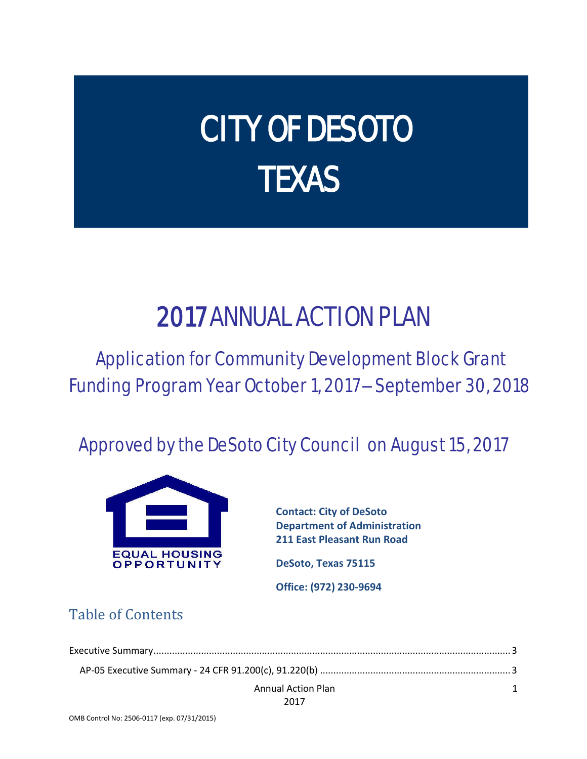# CITY OF DESOTO **TEXAS**

# 2017 ANNUAL ACTION PLAN

# Application for Community Development Block Grant Funding Program Year October 1, 2017 – September 30, 2018

## Approved by the DeSoto City Council on August 15, 2017



**Contact: City of DeSoto Department of Administration 211 East Pleasant Run Road**

**DeSoto, Texas 75115**

**Office: (972) 230-9694**

### Table of Contents

| <b>Annual Action Plan</b> |  |
|---------------------------|--|
| 2017                      |  |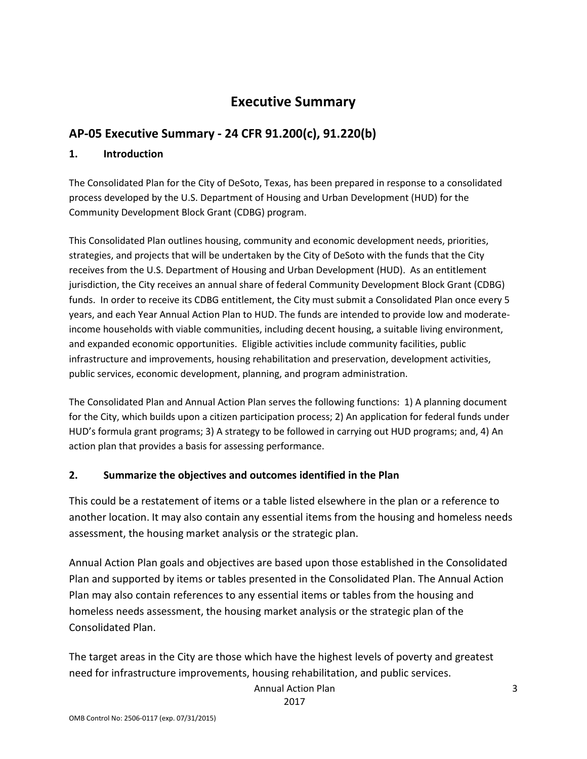### **Executive Summary**

### <span id="page-2-1"></span><span id="page-2-0"></span>**AP-05 Executive Summary - 24 CFR 91.200(c), 91.220(b)**

#### **1. Introduction**

The Consolidated Plan for the City of DeSoto, Texas, has been prepared in response to a consolidated process developed by the U.S. Department of Housing and Urban Development (HUD) for the Community Development Block Grant (CDBG) program.

This Consolidated Plan outlines housing, community and economic development needs, priorities, strategies, and projects that will be undertaken by the City of DeSoto with the funds that the City receives from the U.S. Department of Housing and Urban Development (HUD). As an entitlement jurisdiction, the City receives an annual share of federal Community Development Block Grant (CDBG) funds. In order to receive its CDBG entitlement, the City must submit a Consolidated Plan once every 5 years, and each Year Annual Action Plan to HUD. The funds are intended to provide low and moderateincome households with viable communities, including decent housing, a suitable living environment, and expanded economic opportunities. Eligible activities include community facilities, public infrastructure and improvements, housing rehabilitation and preservation, development activities, public services, economic development, planning, and program administration.

The Consolidated Plan and Annual Action Plan serves the following functions: 1) A planning document for the City, which builds upon a citizen participation process; 2) An application for federal funds under HUD's formula grant programs; 3) A strategy to be followed in carrying out HUD programs; and, 4) An action plan that provides a basis for assessing performance.

#### **2. Summarize the objectives and outcomes identified in the Plan**

This could be a restatement of items or a table listed elsewhere in the plan or a reference to another location. It may also contain any essential items from the housing and homeless needs assessment, the housing market analysis or the strategic plan.

Annual Action Plan goals and objectives are based upon those established in the Consolidated Plan and supported by items or tables presented in the Consolidated Plan. The Annual Action Plan may also contain references to any essential items or tables from the housing and homeless needs assessment, the housing market analysis or the strategic plan of the Consolidated Plan.

The target areas in the City are those which have the highest levels of poverty and greatest need for infrastructure improvements, housing rehabilitation, and public services.

Annual Action Plan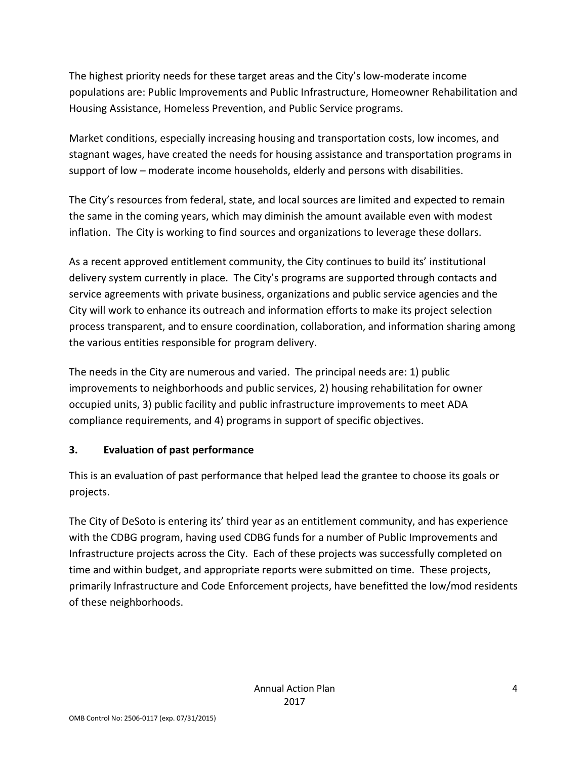The highest priority needs for these target areas and the City's low-moderate income populations are: Public Improvements and Public Infrastructure, Homeowner Rehabilitation and Housing Assistance, Homeless Prevention, and Public Service programs.

Market conditions, especially increasing housing and transportation costs, low incomes, and stagnant wages, have created the needs for housing assistance and transportation programs in support of low – moderate income households, elderly and persons with disabilities.

The City's resources from federal, state, and local sources are limited and expected to remain the same in the coming years, which may diminish the amount available even with modest inflation. The City is working to find sources and organizations to leverage these dollars.

As a recent approved entitlement community, the City continues to build its' institutional delivery system currently in place. The City's programs are supported through contacts and service agreements with private business, organizations and public service agencies and the City will work to enhance its outreach and information efforts to make its project selection process transparent, and to ensure coordination, collaboration, and information sharing among the various entities responsible for program delivery.

The needs in the City are numerous and varied. The principal needs are: 1) public improvements to neighborhoods and public services, 2) housing rehabilitation for owner occupied units, 3) public facility and public infrastructure improvements to meet ADA compliance requirements, and 4) programs in support of specific objectives.

### **3. Evaluation of past performance**

This is an evaluation of past performance that helped lead the grantee to choose its goals or projects.

The City of DeSoto is entering its' third year as an entitlement community, and has experience with the CDBG program, having used CDBG funds for a number of Public Improvements and Infrastructure projects across the City. Each of these projects was successfully completed on time and within budget, and appropriate reports were submitted on time. These projects, primarily Infrastructure and Code Enforcement projects, have benefitted the low/mod residents of these neighborhoods.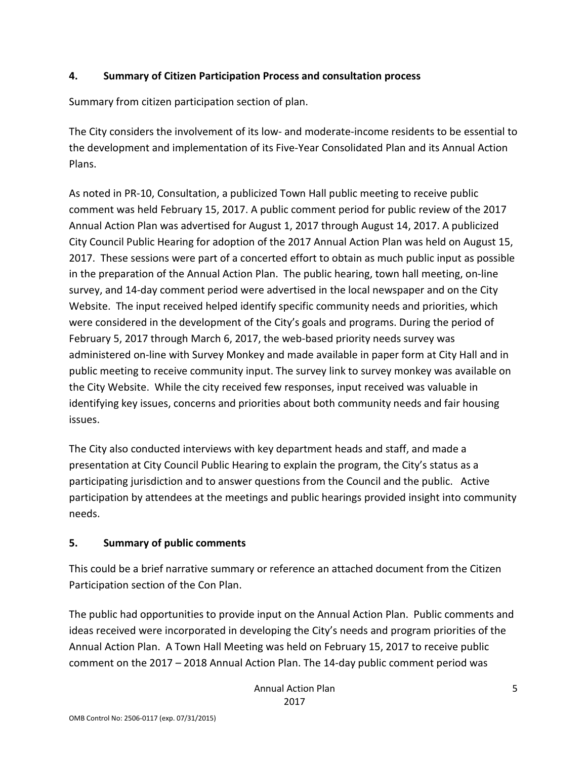### **4. Summary of Citizen Participation Process and consultation process**

Summary from citizen participation section of plan.

The City considers the involvement of its low- and moderate-income residents to be essential to the development and implementation of its Five-Year Consolidated Plan and its Annual Action Plans.

As noted in PR-10, Consultation, a publicized Town Hall public meeting to receive public comment was held February 15, 2017. A public comment period for public review of the 2017 Annual Action Plan was advertised for August 1, 2017 through August 14, 2017. A publicized City Council Public Hearing for adoption of the 2017 Annual Action Plan was held on August 15, 2017. These sessions were part of a concerted effort to obtain as much public input as possible in the preparation of the Annual Action Plan. The public hearing, town hall meeting, on-line survey, and 14-day comment period were advertised in the local newspaper and on the City Website. The input received helped identify specific community needs and priorities, which were considered in the development of the City's goals and programs. During the period of February 5, 2017 through March 6, 2017, the web-based priority needs survey was administered on-line with Survey Monkey and made available in paper form at City Hall and in public meeting to receive community input. The survey link to survey monkey was available on the City Website. While the city received few responses, input received was valuable in identifying key issues, concerns and priorities about both community needs and fair housing issues.

The City also conducted interviews with key department heads and staff, and made a presentation at City Council Public Hearing to explain the program, the City's status as a participating jurisdiction and to answer questions from the Council and the public. Active participation by attendees at the meetings and public hearings provided insight into community needs.

### **5. Summary of public comments**

This could be a brief narrative summary or reference an attached document from the Citizen Participation section of the Con Plan.

The public had opportunities to provide input on the Annual Action Plan. Public comments and ideas received were incorporated in developing the City's needs and program priorities of the Annual Action Plan. A Town Hall Meeting was held on February 15, 2017 to receive public comment on the 2017 – 2018 Annual Action Plan. The 14-day public comment period was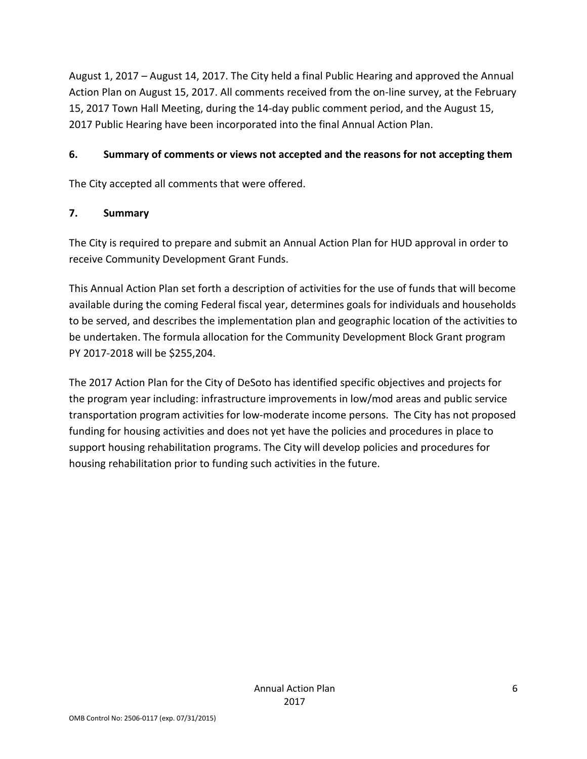August 1, 2017 – August 14, 2017. The City held a final Public Hearing and approved the Annual Action Plan on August 15, 2017. All comments received from the on-line survey, at the February 15, 2017 Town Hall Meeting, during the 14-day public comment period, and the August 15, 2017 Public Hearing have been incorporated into the final Annual Action Plan.

### **6. Summary of comments or views not accepted and the reasons for not accepting them**

The City accepted all comments that were offered.

### **7. Summary**

The City is required to prepare and submit an Annual Action Plan for HUD approval in order to receive Community Development Grant Funds.

This Annual Action Plan set forth a description of activities for the use of funds that will become available during the coming Federal fiscal year, determines goals for individuals and households to be served, and describes the implementation plan and geographic location of the activities to be undertaken. The formula allocation for the Community Development Block Grant program PY 2017-2018 will be \$255,204.

The 2017 Action Plan for the City of DeSoto has identified specific objectives and projects for the program year including: infrastructure improvements in low/mod areas and public service transportation program activities for low-moderate income persons. The City has not proposed funding for housing activities and does not yet have the policies and procedures in place to support housing rehabilitation programs. The City will develop policies and procedures for housing rehabilitation prior to funding such activities in the future.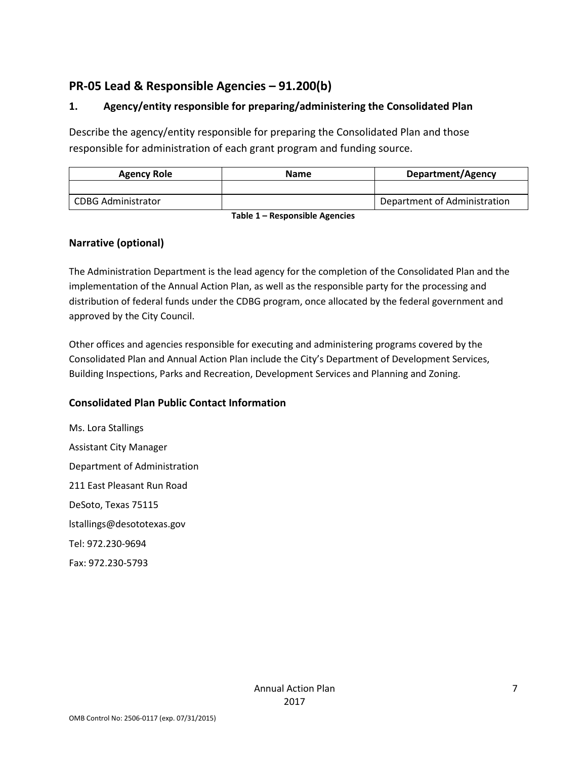### <span id="page-6-0"></span>**PR-05 Lead & Responsible Agencies – 91.200(b)**

### **1. Agency/entity responsible for preparing/administering the Consolidated Plan**

Describe the agency/entity responsible for preparing the Consolidated Plan and those responsible for administration of each grant program and funding source.

| <b>Agency Role</b> | <b>Name</b> | <b>Department/Agency</b>     |
|--------------------|-------------|------------------------------|
|                    |             |                              |
| CDBG Administrator |             | Department of Administration |

**Table 1 – Responsible Agencies**

### **Narrative (optional)**

The Administration Department is the lead agency for the completion of the Consolidated Plan and the implementation of the Annual Action Plan, as well as the responsible party for the processing and distribution of federal funds under the CDBG program, once allocated by the federal government and approved by the City Council.

Other offices and agencies responsible for executing and administering programs covered by the Consolidated Plan and Annual Action Plan include the City's Department of Development Services, Building Inspections, Parks and Recreation, Development Services and Planning and Zoning.

### **Consolidated Plan Public Contact Information**

Ms. Lora Stallings Assistant City Manager Department of Administration 211 East Pleasant Run Road DeSoto, Texas 75115 lstallings@desototexas.gov Tel: 972.230-9694 Fax: 972.230-5793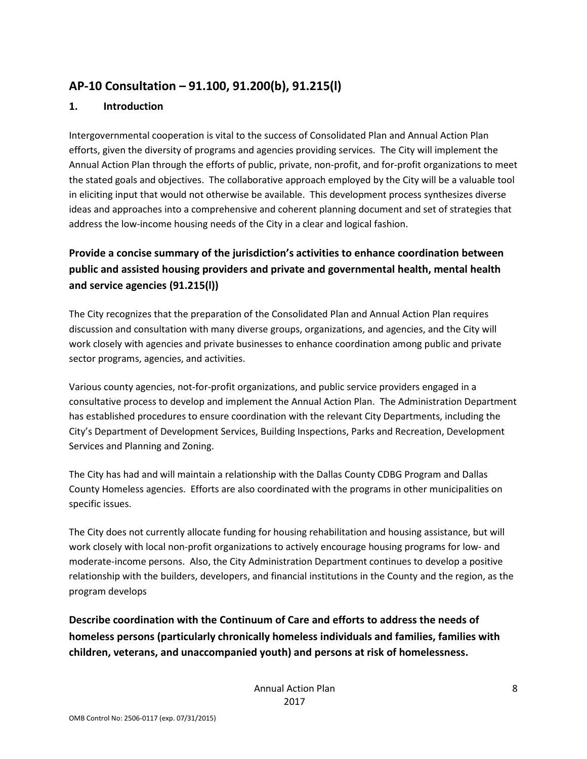### <span id="page-7-0"></span>**AP-10 Consultation – 91.100, 91.200(b), 91.215(l)**

### **1. Introduction**

Intergovernmental cooperation is vital to the success of Consolidated Plan and Annual Action Plan efforts, given the diversity of programs and agencies providing services. The City will implement the Annual Action Plan through the efforts of public, private, non-profit, and for-profit organizations to meet the stated goals and objectives. The collaborative approach employed by the City will be a valuable tool in eliciting input that would not otherwise be available. This development process synthesizes diverse ideas and approaches into a comprehensive and coherent planning document and set of strategies that address the low-income housing needs of the City in a clear and logical fashion.

### **Provide a concise summary of the jurisdiction's activities to enhance coordination between public and assisted housing providers and private and governmental health, mental health and service agencies (91.215(l))**

The City recognizes that the preparation of the Consolidated Plan and Annual Action Plan requires discussion and consultation with many diverse groups, organizations, and agencies, and the City will work closely with agencies and private businesses to enhance coordination among public and private sector programs, agencies, and activities.

Various county agencies, not-for-profit organizations, and public service providers engaged in a consultative process to develop and implement the Annual Action Plan. The Administration Department has established procedures to ensure coordination with the relevant City Departments, including the City's Department of Development Services, Building Inspections, Parks and Recreation, Development Services and Planning and Zoning.

The City has had and will maintain a relationship with the Dallas County CDBG Program and Dallas County Homeless agencies. Efforts are also coordinated with the programs in other municipalities on specific issues.

The City does not currently allocate funding for housing rehabilitation and housing assistance, but will work closely with local non-profit organizations to actively encourage housing programs for low- and moderate-income persons. Also, the City Administration Department continues to develop a positive relationship with the builders, developers, and financial institutions in the County and the region, as the program develops

**Describe coordination with the Continuum of Care and efforts to address the needs of homeless persons (particularly chronically homeless individuals and families, families with children, veterans, and unaccompanied youth) and persons at risk of homelessness.**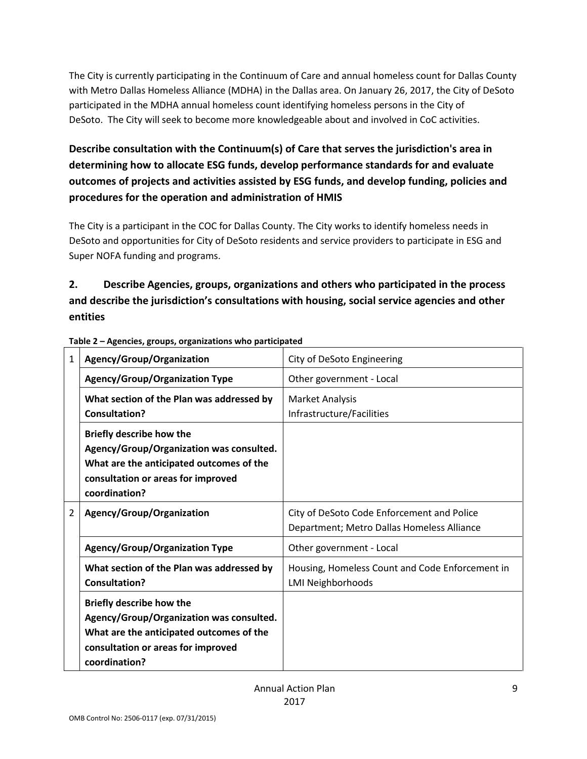The City is currently participating in the Continuum of Care and annual homeless count for Dallas County with Metro Dallas Homeless Alliance (MDHA) in the Dallas area. On January 26, 2017, the City of DeSoto participated in the MDHA annual homeless count identifying homeless persons in the City of DeSoto. The City will seek to become more knowledgeable about and involved in CoC activities.

### **Describe consultation with the Continuum(s) of Care that serves the jurisdiction's area in determining how to allocate ESG funds, develop performance standards for and evaluate outcomes of projects and activities assisted by ESG funds, and develop funding, policies and procedures for the operation and administration of HMIS**

The City is a participant in the COC for Dallas County. The City works to identify homeless needs in DeSoto and opportunities for City of DeSoto residents and service providers to participate in ESG and Super NOFA funding and programs.

### **2. Describe Agencies, groups, organizations and others who participated in the process and describe the jurisdiction's consultations with housing, social service agencies and other entities**

| 1 | Agency/Group/Organization                                                                                                                                                      | City of DeSoto Engineering                                                               |  |
|---|--------------------------------------------------------------------------------------------------------------------------------------------------------------------------------|------------------------------------------------------------------------------------------|--|
|   | <b>Agency/Group/Organization Type</b>                                                                                                                                          | Other government - Local                                                                 |  |
|   | What section of the Plan was addressed by<br><b>Consultation?</b>                                                                                                              | <b>Market Analysis</b><br>Infrastructure/Facilities                                      |  |
|   | <b>Briefly describe how the</b><br>Agency/Group/Organization was consulted.<br>What are the anticipated outcomes of the<br>consultation or areas for improved<br>coordination? |                                                                                          |  |
| 2 | Agency/Group/Organization                                                                                                                                                      | City of DeSoto Code Enforcement and Police<br>Department; Metro Dallas Homeless Alliance |  |
|   | <b>Agency/Group/Organization Type</b>                                                                                                                                          | Other government - Local                                                                 |  |
|   | What section of the Plan was addressed by<br><b>Consultation?</b>                                                                                                              | Housing, Homeless Count and Code Enforcement in<br><b>LMI Neighborhoods</b>              |  |
|   | <b>Briefly describe how the</b><br>Agency/Group/Organization was consulted.<br>What are the anticipated outcomes of the<br>consultation or areas for improved<br>coordination? |                                                                                          |  |

**Table 2 – Agencies, groups, organizations who participated**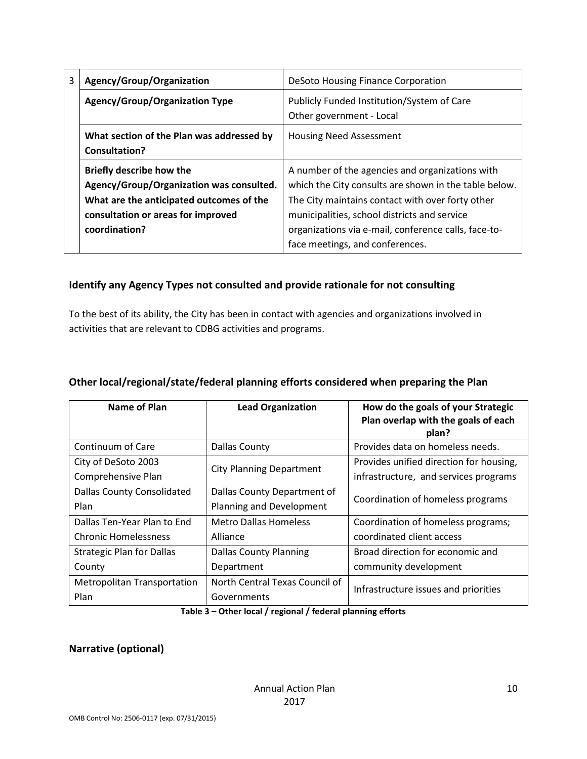| 3                                                                                                                                                             | Agency/Group/Organization                                  | DeSoto Housing Finance Corporation                                                                                                                                                                           |  |  |
|---------------------------------------------------------------------------------------------------------------------------------------------------------------|------------------------------------------------------------|--------------------------------------------------------------------------------------------------------------------------------------------------------------------------------------------------------------|--|--|
|                                                                                                                                                               | <b>Agency/Group/Organization Type</b>                      | Publicly Funded Institution/System of Care<br>Other government - Local                                                                                                                                       |  |  |
|                                                                                                                                                               | What section of the Plan was addressed by<br>Consultation? | <b>Housing Need Assessment</b>                                                                                                                                                                               |  |  |
| <b>Briefly describe how the</b><br>Agency/Group/Organization was consulted.<br>What are the anticipated outcomes of the<br>consultation or areas for improved |                                                            | A number of the agencies and organizations with<br>which the City consults are shown in the table below.<br>The City maintains contact with over forty other<br>municipalities, school districts and service |  |  |
|                                                                                                                                                               | coordination?                                              | organizations via e-mail, conference calls, face-to-<br>face meetings, and conferences.                                                                                                                      |  |  |

### **Identify any Agency Types not consulted and provide rationale for not consulting**

To the best of its ability, the City has been in contact with agencies and organizations involved in activities that are relevant to CDBG activities and programs.

| Name of Plan                       | <b>Lead Organization</b>        | How do the goals of your Strategic<br>Plan overlap with the goals of each<br>plan? |  |  |
|------------------------------------|---------------------------------|------------------------------------------------------------------------------------|--|--|
| Continuum of Care                  | <b>Dallas County</b>            | Provides data on homeless needs.                                                   |  |  |
| City of DeSoto 2003                | <b>City Planning Department</b> | Provides unified direction for housing,                                            |  |  |
| Comprehensive Plan                 |                                 | infrastructure, and services programs                                              |  |  |
| <b>Dallas County Consolidated</b>  | Dallas County Department of     | Coordination of homeless programs                                                  |  |  |
| Plan                               | Planning and Development        |                                                                                    |  |  |
| Dallas Ten-Year Plan to End        | <b>Metro Dallas Homeless</b>    | Coordination of homeless programs;                                                 |  |  |
| <b>Chronic Homelessness</b>        | Alliance                        | coordinated client access                                                          |  |  |
| <b>Strategic Plan for Dallas</b>   | <b>Dallas County Planning</b>   | Broad direction for economic and                                                   |  |  |
| County                             | Department                      | community development                                                              |  |  |
| <b>Metropolitan Transportation</b> | North Central Texas Council of  | Infrastructure issues and priorities                                               |  |  |
| Plan                               | Governments                     |                                                                                    |  |  |

#### **Other local/regional/state/federal planning efforts considered when preparing the Plan**

**Table 3 – Other local / regional / federal planning efforts**

#### **Narrative (optional)**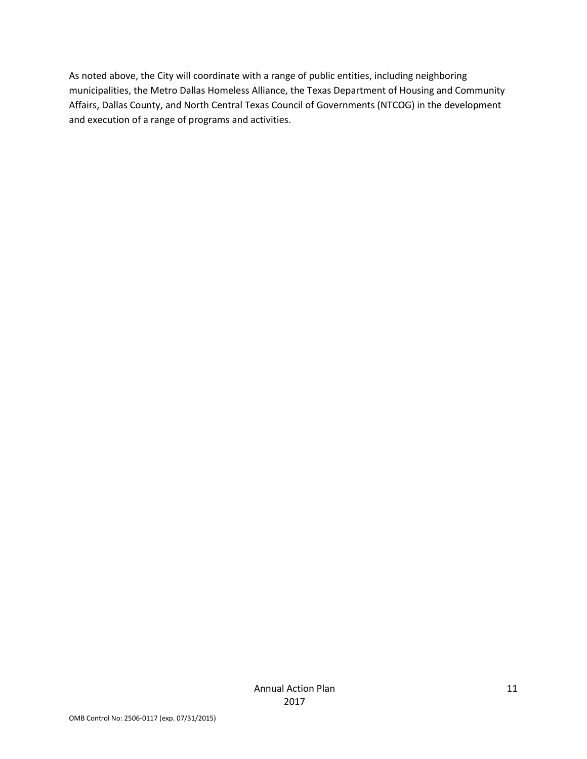As noted above, the City will coordinate with a range of public entities, including neighboring municipalities, the Metro Dallas Homeless Alliance, the Texas Department of Housing and Community Affairs, Dallas County, and North Central Texas Council of Governments (NTCOG) in the development and execution of a range of programs and activities.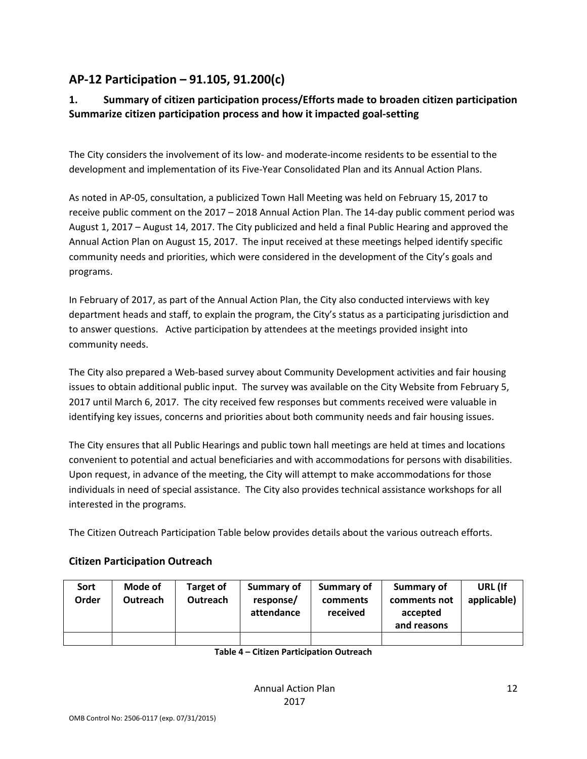### <span id="page-11-0"></span>**AP-12 Participation – 91.105, 91.200(c)**

### **1. Summary of citizen participation process/Efforts made to broaden citizen participation Summarize citizen participation process and how it impacted goal-setting**

The City considers the involvement of its low- and moderate-income residents to be essential to the development and implementation of its Five-Year Consolidated Plan and its Annual Action Plans.

As noted in AP-05, consultation, a publicized Town Hall Meeting was held on February 15, 2017 to receive public comment on the 2017 – 2018 Annual Action Plan. The 14-day public comment period was August 1, 2017 – August 14, 2017. The City publicized and held a final Public Hearing and approved the Annual Action Plan on August 15, 2017. The input received at these meetings helped identify specific community needs and priorities, which were considered in the development of the City's goals and programs.

In February of 2017, as part of the Annual Action Plan, the City also conducted interviews with key department heads and staff, to explain the program, the City's status as a participating jurisdiction and to answer questions. Active participation by attendees at the meetings provided insight into community needs.

The City also prepared a Web-based survey about Community Development activities and fair housing issues to obtain additional public input. The survey was available on the City Website from February 5, 2017 until March 6, 2017. The city received few responses but comments received were valuable in identifying key issues, concerns and priorities about both community needs and fair housing issues.

The City ensures that all Public Hearings and public town hall meetings are held at times and locations convenient to potential and actual beneficiaries and with accommodations for persons with disabilities. Upon request, in advance of the meeting, the City will attempt to make accommodations for those individuals in need of special assistance. The City also provides technical assistance workshops for all interested in the programs.

The Citizen Outreach Participation Table below provides details about the various outreach efforts.

| Sort<br>Order | Mode of<br><b>Outreach</b> | <b>Target of</b><br><b>Outreach</b> | Summary of<br>response/<br>attendance | Summary of<br>comments<br>received | Summary of<br>comments not<br>accepted<br>and reasons | URL (If<br>applicable) |
|---------------|----------------------------|-------------------------------------|---------------------------------------|------------------------------------|-------------------------------------------------------|------------------------|
|               |                            |                                     |                                       |                                    |                                                       |                        |

### **Citizen Participation Outreach**

**Table 4 – Citizen Participation Outreach**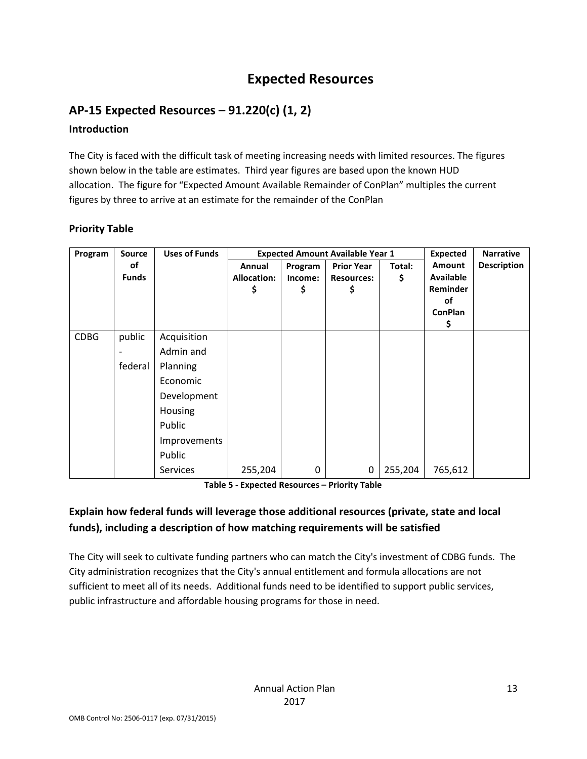### **Expected Resources**

### <span id="page-12-1"></span><span id="page-12-0"></span>**AP-15 Expected Resources – 91.220(c) (1, 2)**

### **Introduction**

The City is faced with the difficult task of meeting increasing needs with limited resources. The figures shown below in the table are estimates. Third year figures are based upon the known HUD allocation. The figure for "Expected Amount Available Remainder of ConPlan" multiples the current figures by three to arrive at an estimate for the remainder of the ConPlan

### **Priority Table**

| Program     | <b>Source</b>      | <b>Uses of Funds</b> |                                    | <b>Expected Amount Available Year 1</b> | <b>Expected</b>                              | <b>Narrative</b> |                                                                            |                    |
|-------------|--------------------|----------------------|------------------------------------|-----------------------------------------|----------------------------------------------|------------------|----------------------------------------------------------------------------|--------------------|
|             | of<br><b>Funds</b> |                      | Annual<br><b>Allocation:</b><br>\$ | Program<br>Income:<br>\$                | <b>Prior Year</b><br><b>Resources:</b><br>\$ | Total:<br>\$     | <b>Amount</b><br><b>Available</b><br>Reminder<br>of<br><b>ConPlan</b><br>Ş | <b>Description</b> |
| <b>CDBG</b> | public             | Acquisition          |                                    |                                         |                                              |                  |                                                                            |                    |
|             |                    | Admin and            |                                    |                                         |                                              |                  |                                                                            |                    |
|             | federal            | Planning             |                                    |                                         |                                              |                  |                                                                            |                    |
|             |                    | Economic             |                                    |                                         |                                              |                  |                                                                            |                    |
|             |                    | Development          |                                    |                                         |                                              |                  |                                                                            |                    |
|             |                    | Housing              |                                    |                                         |                                              |                  |                                                                            |                    |
|             |                    | Public               |                                    |                                         |                                              |                  |                                                                            |                    |
|             |                    | Improvements         |                                    |                                         |                                              |                  |                                                                            |                    |
|             |                    | Public               |                                    |                                         |                                              |                  |                                                                            |                    |
|             |                    | <b>Services</b>      | 255,204                            | 0                                       | 0                                            | 255,204          | 765,612                                                                    |                    |

**Table 5 - Expected Resources – Priority Table**

### **Explain how federal funds will leverage those additional resources (private, state and local funds), including a description of how matching requirements will be satisfied**

The City will seek to cultivate funding partners who can match the City's investment of CDBG funds. The City administration recognizes that the City's annual entitlement and formula allocations are not sufficient to meet all of its needs. Additional funds need to be identified to support public services, public infrastructure and affordable housing programs for those in need.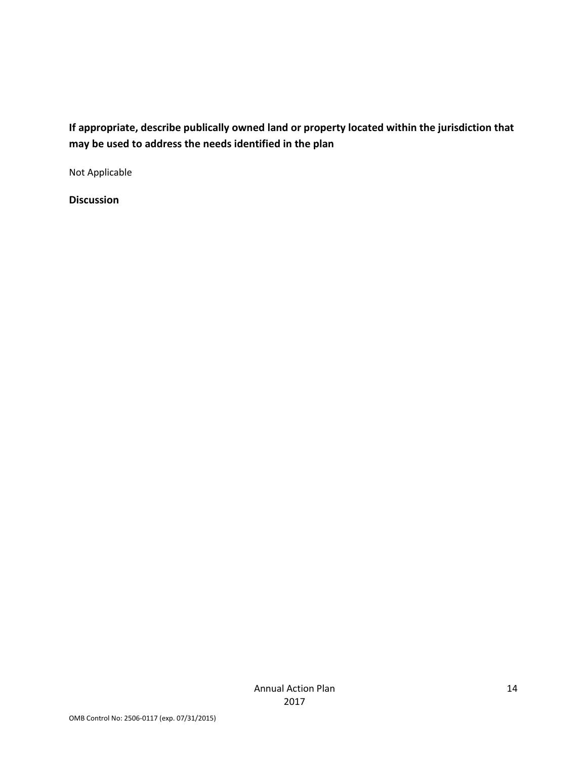### **If appropriate, describe publically owned land or property located within the jurisdiction that may be used to address the needs identified in the plan**

Not Applicable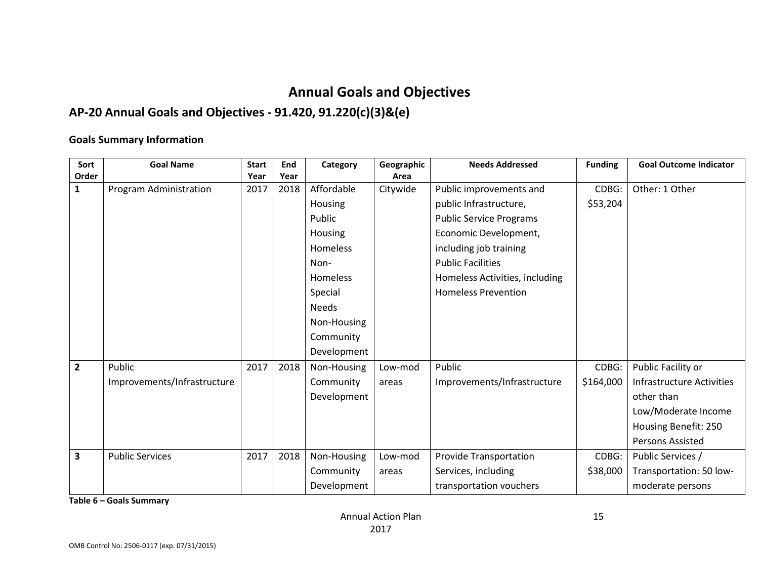### **Annual Goals and Objectives**

### **AP-20 Annual Goals and Objectives - 91.420, 91.220(c)(3)&(e)**

#### **Goals Summary Information**

<span id="page-14-0"></span>

| Sort           | <b>Goal Name</b>            | <b>Start</b> | End  | Category     | Geographic | <b>Needs Addressed</b>         | <b>Funding</b> | <b>Goal Outcome Indicator</b> |
|----------------|-----------------------------|--------------|------|--------------|------------|--------------------------------|----------------|-------------------------------|
| Order          |                             | Year         | Year |              | Area       |                                |                |                               |
| $\mathbf{1}$   | Program Administration      | 2017         | 2018 | Affordable   | Citywide   | Public improvements and        | CDBG:          | Other: 1 Other                |
|                |                             |              |      | Housing      |            | public Infrastructure,         | \$53,204       |                               |
|                |                             |              |      | Public       |            | <b>Public Service Programs</b> |                |                               |
|                |                             |              |      | Housing      |            | Economic Development,          |                |                               |
|                |                             |              |      | Homeless     |            | including job training         |                |                               |
|                |                             |              |      | Non-         |            | <b>Public Facilities</b>       |                |                               |
|                |                             |              |      | Homeless     |            | Homeless Activities, including |                |                               |
|                |                             |              |      | Special      |            | <b>Homeless Prevention</b>     |                |                               |
|                |                             |              |      | <b>Needs</b> |            |                                |                |                               |
|                |                             |              |      | Non-Housing  |            |                                |                |                               |
|                |                             |              |      | Community    |            |                                |                |                               |
|                |                             |              |      | Development  |            |                                |                |                               |
| $\overline{2}$ | Public                      | 2017         | 2018 | Non-Housing  | Low-mod    | Public                         | CDBG:          | Public Facility or            |
|                | Improvements/Infrastructure |              |      | Community    | areas      | Improvements/Infrastructure    | \$164,000      | Infrastructure Activities     |
|                |                             |              |      | Development  |            |                                |                | other than                    |
|                |                             |              |      |              |            |                                |                | Low/Moderate Income           |
|                |                             |              |      |              |            |                                |                | Housing Benefit: 250          |
|                |                             |              |      |              |            |                                |                | <b>Persons Assisted</b>       |
| 3              | <b>Public Services</b>      | 2017         | 2018 | Non-Housing  | Low-mod    | Provide Transportation         | CDBG:          | Public Services /             |
|                |                             |              |      | Community    | areas      | Services, including            | \$38,000       | Transportation: 50 low-       |
|                |                             |              |      | Development  |            | transportation vouchers        |                | moderate persons              |

**Table 6 – Goals Summary**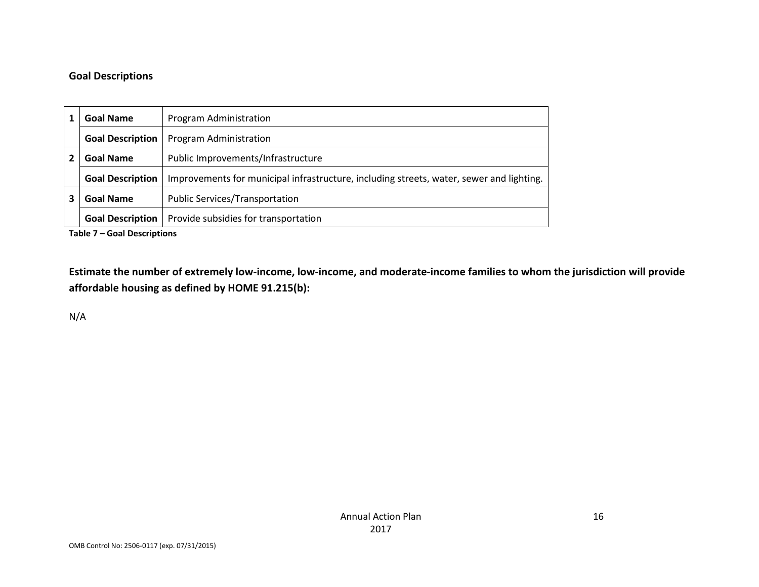### **Goal Descriptions**

| <b>Goal Name</b><br>Program Administration             |                                                                                          |  |  |
|--------------------------------------------------------|------------------------------------------------------------------------------------------|--|--|
| <b>Goal Description</b>                                | Program Administration                                                                   |  |  |
| <b>Goal Name</b><br>Public Improvements/Infrastructure |                                                                                          |  |  |
| <b>Goal Description</b>                                | Improvements for municipal infrastructure, including streets, water, sewer and lighting. |  |  |
| <b>Goal Name</b>                                       | <b>Public Services/Transportation</b>                                                    |  |  |
| <b>Goal Description</b>                                | Provide subsidies for transportation                                                     |  |  |

**Table 7 – Goal Descriptions**

**Estimate the number of extremely low-income, low-income, and moderate-income families to whom the jurisdiction will provide affordable housing as defined by HOME 91.215(b):**

N/A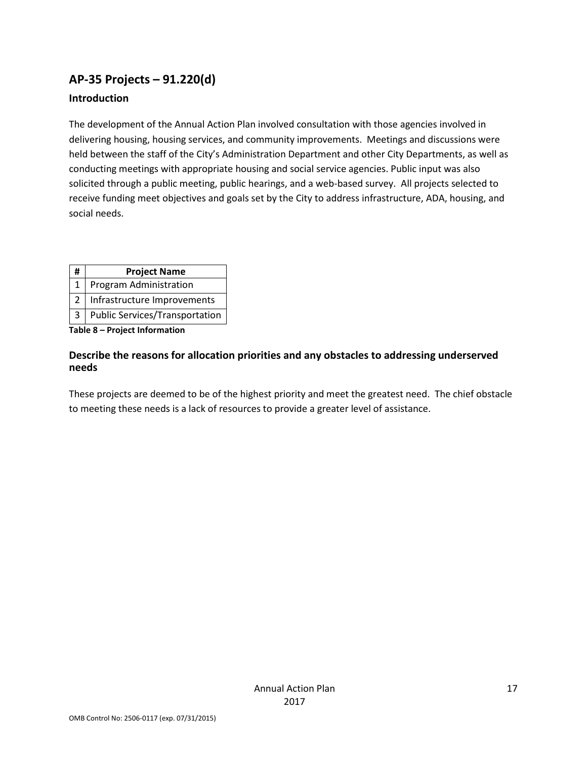### <span id="page-16-0"></span>**AP-35 Projects – 91.220(d)**

#### **Introduction**

The development of the Annual Action Plan involved consultation with those agencies involved in delivering housing, housing services, and community improvements. Meetings and discussions were held between the staff of the City's Administration Department and other City Departments, as well as conducting meetings with appropriate housing and social service agencies. Public input was also solicited through a public meeting, public hearings, and a web-based survey. All projects selected to receive funding meet objectives and goals set by the City to address infrastructure, ADA, housing, and social needs.

| #<br><b>Project Name</b> |
|--------------------------|
|--------------------------|

- 1 | Program Administration
- 2 | Infrastructure Improvements
- 3 Public Services/Transportation

**Table 8 – Project Information**

#### **Describe the reasons for allocation priorities and any obstacles to addressing underserved needs**

These projects are deemed to be of the highest priority and meet the greatest need. The chief obstacle to meeting these needs is a lack of resources to provide a greater level of assistance.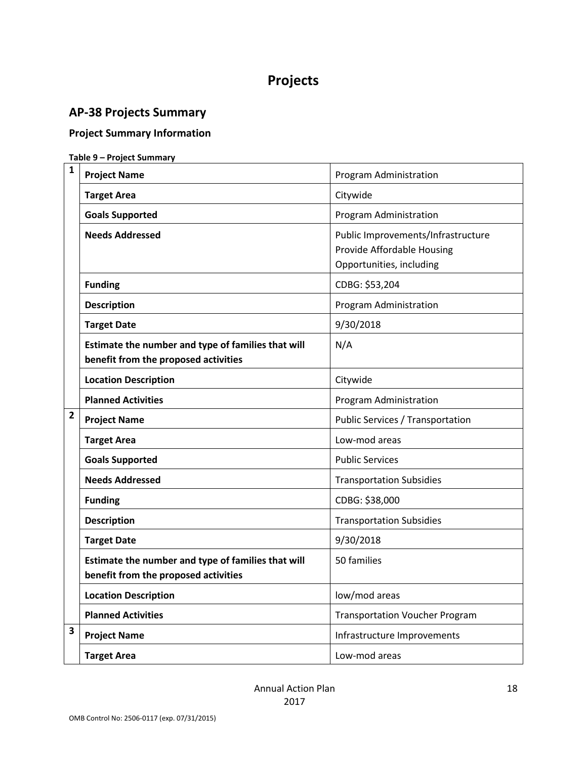### **Projects**

### <span id="page-17-1"></span><span id="page-17-0"></span>**AP-38 Projects Summary**

### **Project Summary Information**

#### **Table 9 – Project Summary**

| 1 | <b>Project Name</b>                                                                        | Program Administration                                                                       |  |  |
|---|--------------------------------------------------------------------------------------------|----------------------------------------------------------------------------------------------|--|--|
|   | <b>Target Area</b>                                                                         | Citywide                                                                                     |  |  |
|   | <b>Goals Supported</b>                                                                     | Program Administration                                                                       |  |  |
|   | <b>Needs Addressed</b>                                                                     | Public Improvements/Infrastructure<br>Provide Affordable Housing<br>Opportunities, including |  |  |
|   | <b>Funding</b>                                                                             | CDBG: \$53,204                                                                               |  |  |
|   | <b>Description</b>                                                                         | Program Administration                                                                       |  |  |
|   | <b>Target Date</b>                                                                         | 9/30/2018                                                                                    |  |  |
|   | Estimate the number and type of families that will<br>benefit from the proposed activities | N/A                                                                                          |  |  |
|   | <b>Location Description</b>                                                                | Citywide                                                                                     |  |  |
|   | <b>Planned Activities</b>                                                                  | Program Administration                                                                       |  |  |
| 2 | <b>Project Name</b>                                                                        | <b>Public Services / Transportation</b>                                                      |  |  |
|   | <b>Target Area</b>                                                                         | Low-mod areas                                                                                |  |  |
|   | <b>Goals Supported</b>                                                                     | <b>Public Services</b>                                                                       |  |  |
|   | <b>Needs Addressed</b>                                                                     | <b>Transportation Subsidies</b>                                                              |  |  |
|   | <b>Funding</b>                                                                             | CDBG: \$38,000                                                                               |  |  |
|   | <b>Description</b>                                                                         | <b>Transportation Subsidies</b>                                                              |  |  |
|   | <b>Target Date</b>                                                                         | 9/30/2018                                                                                    |  |  |
|   | Estimate the number and type of families that will<br>benefit from the proposed activities | 50 families                                                                                  |  |  |
|   | <b>Location Description</b>                                                                | low/mod areas                                                                                |  |  |
|   | <b>Planned Activities</b>                                                                  | <b>Transportation Voucher Program</b>                                                        |  |  |
| 3 | <b>Project Name</b>                                                                        | Infrastructure Improvements                                                                  |  |  |
|   | <b>Target Area</b>                                                                         | Low-mod areas                                                                                |  |  |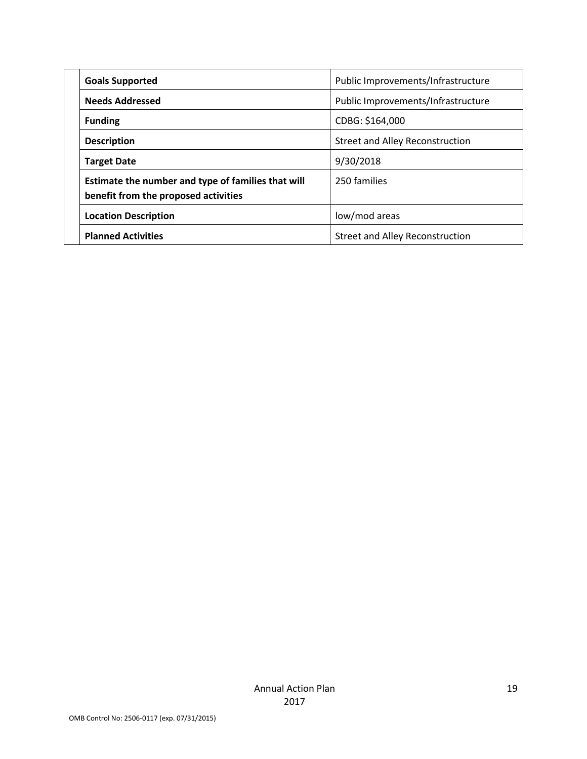| <b>Goals Supported</b>                                                                     | Public Improvements/Infrastructure     |
|--------------------------------------------------------------------------------------------|----------------------------------------|
| <b>Needs Addressed</b>                                                                     | Public Improvements/Infrastructure     |
| <b>Funding</b>                                                                             | CDBG: \$164,000                        |
| <b>Description</b>                                                                         | <b>Street and Alley Reconstruction</b> |
| <b>Target Date</b>                                                                         | 9/30/2018                              |
| Estimate the number and type of families that will<br>benefit from the proposed activities | 250 families                           |
| <b>Location Description</b>                                                                | low/mod areas                          |
| <b>Planned Activities</b>                                                                  | <b>Street and Alley Reconstruction</b> |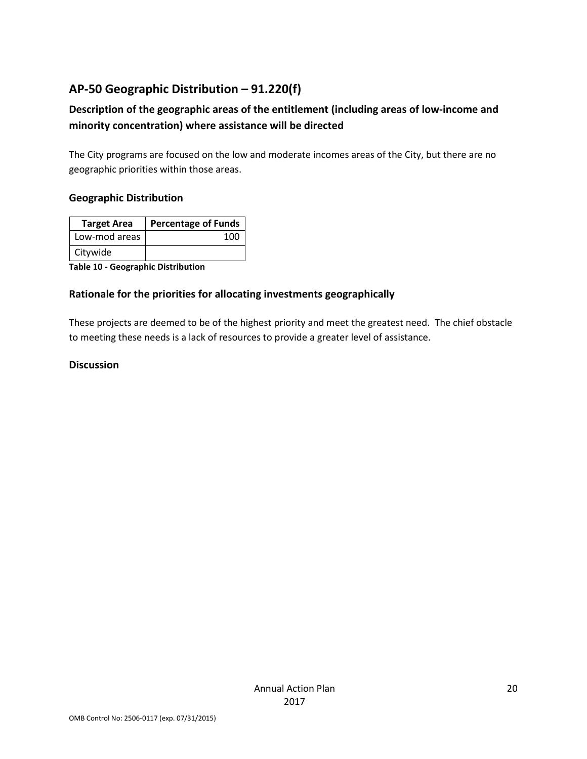### <span id="page-19-0"></span>**AP-50 Geographic Distribution – 91.220(f)**

### **Description of the geographic areas of the entitlement (including areas of low-income and minority concentration) where assistance will be directed**

The City programs are focused on the low and moderate incomes areas of the City, but there are no geographic priorities within those areas.

#### **Geographic Distribution**

| <b>Target Area</b> | <b>Percentage of Funds</b> |
|--------------------|----------------------------|
| Low-mod areas      | 100                        |
| Citywide           |                            |

**Table 10 - Geographic Distribution** 

#### **Rationale for the priorities for allocating investments geographically**

These projects are deemed to be of the highest priority and meet the greatest need. The chief obstacle to meeting these needs is a lack of resources to provide a greater level of assistance.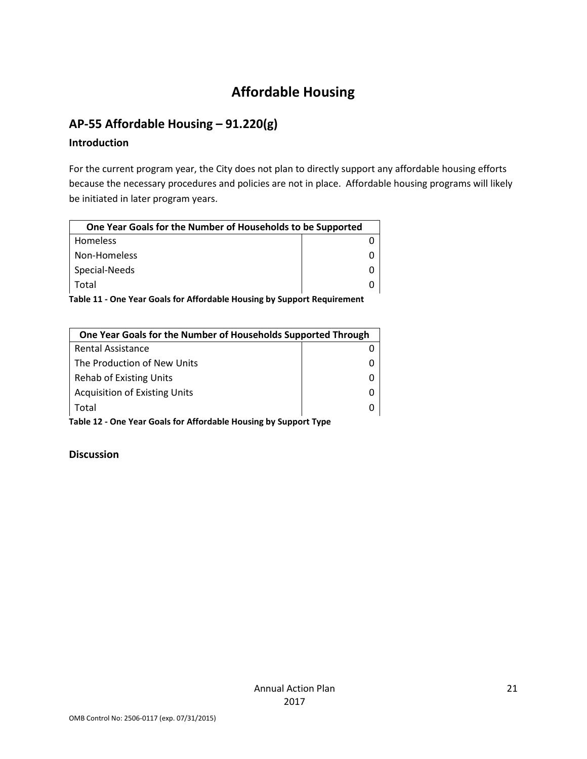### **Affordable Housing**

### <span id="page-20-1"></span><span id="page-20-0"></span>**AP-55 Affordable Housing – 91.220(g)**

#### **Introduction**

For the current program year, the City does not plan to directly support any affordable housing efforts because the necessary procedures and policies are not in place. Affordable housing programs will likely be initiated in later program years.

| One Year Goals for the Number of Households to be Supported |  |
|-------------------------------------------------------------|--|
| Homeless                                                    |  |
| Non-Homeless                                                |  |
| Special-Needs                                               |  |
| Total                                                       |  |

**Table 11 - One Year Goals for Affordable Housing by Support Requirement**

| One Year Goals for the Number of Households Supported Through |  |
|---------------------------------------------------------------|--|
| Rental Assistance                                             |  |
| The Production of New Units                                   |  |
| <b>Rehab of Existing Units</b>                                |  |
| <b>Acquisition of Existing Units</b>                          |  |
| Total                                                         |  |

**Table 12 - One Year Goals for Affordable Housing by Support Type**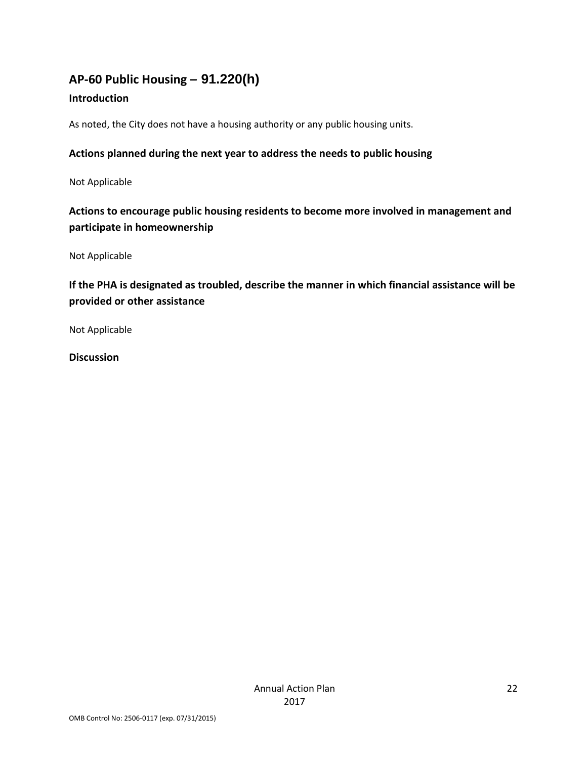### <span id="page-21-0"></span>**AP-60 Public Housing** *–* **91.220(h)**

### **Introduction**

As noted, the City does not have a housing authority or any public housing units.

### **Actions planned during the next year to address the needs to public housing**

Not Applicable

### **Actions to encourage public housing residents to become more involved in management and participate in homeownership**

Not Applicable

**If the PHA is designated as troubled, describe the manner in which financial assistance will be provided or other assistance** 

Not Applicable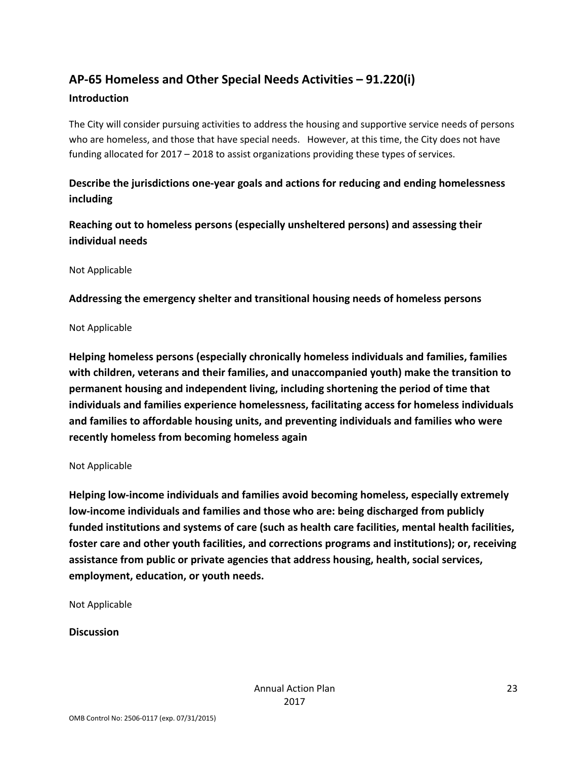### <span id="page-22-0"></span>**AP-65 Homeless and Other Special Needs Activities – 91.220(i)**

#### **Introduction**

The City will consider pursuing activities to address the housing and supportive service needs of persons who are homeless, and those that have special needs. However, at this time, the City does not have funding allocated for 2017 – 2018 to assist organizations providing these types of services.

### **Describe the jurisdictions one-year goals and actions for reducing and ending homelessness including**

**Reaching out to homeless persons (especially unsheltered persons) and assessing their individual needs**

Not Applicable

**Addressing the emergency shelter and transitional housing needs of homeless persons**

Not Applicable

**Helping homeless persons (especially chronically homeless individuals and families, families with children, veterans and their families, and unaccompanied youth) make the transition to permanent housing and independent living, including shortening the period of time that individuals and families experience homelessness, facilitating access for homeless individuals and families to affordable housing units, and preventing individuals and families who were recently homeless from becoming homeless again**

#### Not Applicable

**Helping low-income individuals and families avoid becoming homeless, especially extremely low-income individuals and families and those who are: being discharged from publicly funded institutions and systems of care (such as health care facilities, mental health facilities, foster care and other youth facilities, and corrections programs and institutions); or, receiving assistance from public or private agencies that address housing, health, social services, employment, education, or youth needs.**

Not Applicable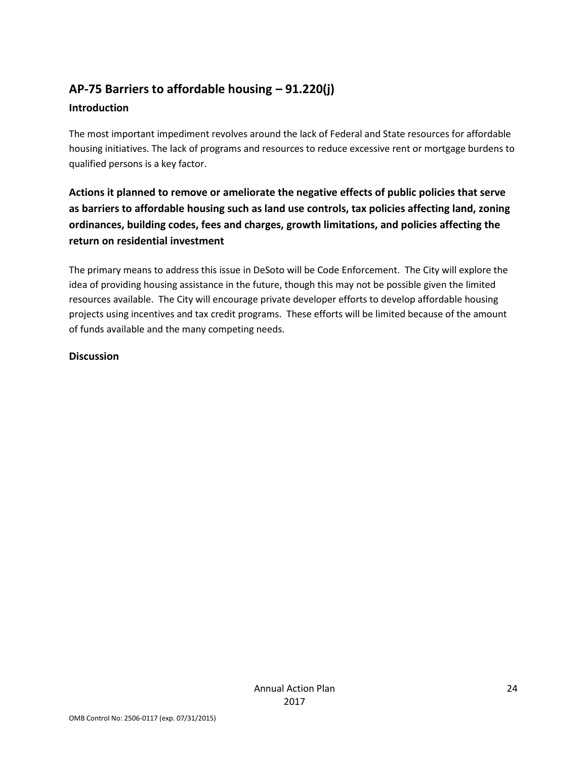### <span id="page-23-0"></span>**AP-75 Barriers to affordable housing – 91.220(j)**

### **Introduction**

The most important impediment revolves around the lack of Federal and State resources for affordable housing initiatives. The lack of programs and resources to reduce excessive rent or mortgage burdens to qualified persons is a key factor.

**Actions it planned to remove or ameliorate the negative effects of public policies that serve as barriers to affordable housing such as land use controls, tax policies affecting land, zoning ordinances, building codes, fees and charges, growth limitations, and policies affecting the return on residential investment**

The primary means to address this issue in DeSoto will be Code Enforcement. The City will explore the idea of providing housing assistance in the future, though this may not be possible given the limited resources available. The City will encourage private developer efforts to develop affordable housing projects using incentives and tax credit programs. These efforts will be limited because of the amount of funds available and the many competing needs.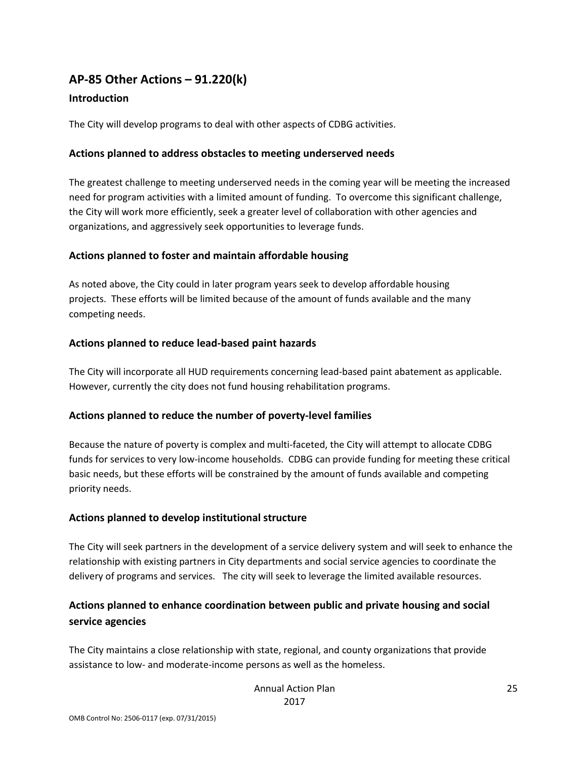### <span id="page-24-0"></span>**AP-85 Other Actions – 91.220(k)**

#### **Introduction**

The City will develop programs to deal with other aspects of CDBG activities.

#### **Actions planned to address obstacles to meeting underserved needs**

The greatest challenge to meeting underserved needs in the coming year will be meeting the increased need for program activities with a limited amount of funding. To overcome this significant challenge, the City will work more efficiently, seek a greater level of collaboration with other agencies and organizations, and aggressively seek opportunities to leverage funds.

#### **Actions planned to foster and maintain affordable housing**

As noted above, the City could in later program years seek to develop affordable housing projects. These efforts will be limited because of the amount of funds available and the many competing needs.

#### **Actions planned to reduce lead-based paint hazards**

The City will incorporate all HUD requirements concerning lead-based paint abatement as applicable. However, currently the city does not fund housing rehabilitation programs.

#### **Actions planned to reduce the number of poverty-level families**

Because the nature of poverty is complex and multi-faceted, the City will attempt to allocate CDBG funds for services to very low-income households. CDBG can provide funding for meeting these critical basic needs, but these efforts will be constrained by the amount of funds available and competing priority needs.

#### **Actions planned to develop institutional structure**

The City will seek partners in the development of a service delivery system and will seek to enhance the relationship with existing partners in City departments and social service agencies to coordinate the delivery of programs and services. The city will seek to leverage the limited available resources.

### **Actions planned to enhance coordination between public and private housing and social service agencies**

The City maintains a close relationship with state, regional, and county organizations that provide assistance to low- and moderate-income persons as well as the homeless.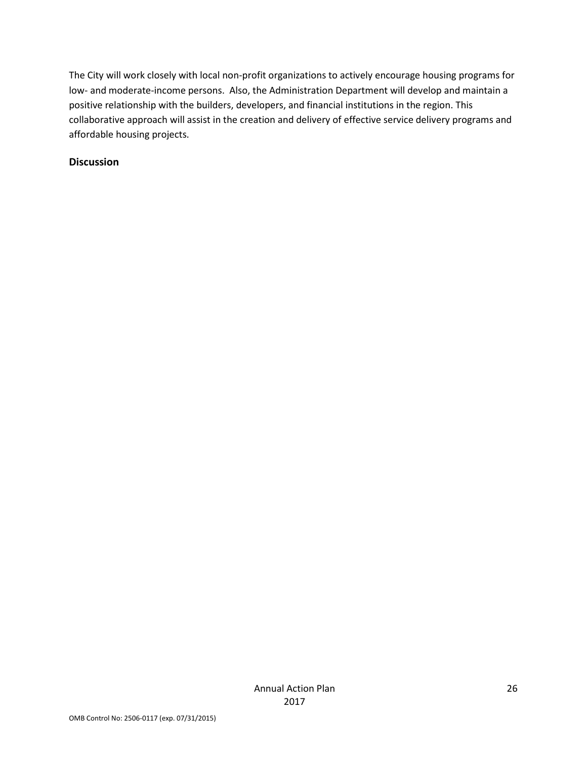The City will work closely with local non-profit organizations to actively encourage housing programs for low- and moderate-income persons. Also, the Administration Department will develop and maintain a positive relationship with the builders, developers, and financial institutions in the region. This collaborative approach will assist in the creation and delivery of effective service delivery programs and affordable housing projects.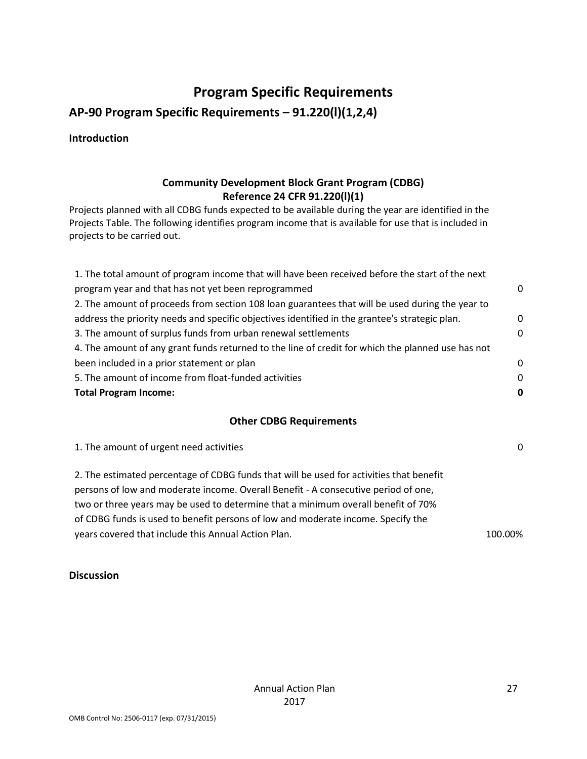### **Program Specific Requirements**

<span id="page-26-0"></span>**AP-90 Program Specific Requirements – 91.220(l)(1,2,4)**

**Introduction**

### **Community Development Block Grant Program (CDBG) Reference 24 CFR 91.220(l)(1)**

Projects planned with all CDBG funds expected to be available during the year are identified in the Projects Table. The following identifies program income that is available for use that is included in projects to be carried out.

| 1. The total amount of program income that will have been received before the start of the next   |          |
|---------------------------------------------------------------------------------------------------|----------|
| program year and that has not yet been reprogrammed                                               | $\Omega$ |
| 2. The amount of proceeds from section 108 loan guarantees that will be used during the year to   |          |
| address the priority needs and specific objectives identified in the grantee's strategic plan.    | $\Omega$ |
| 3. The amount of surplus funds from urban renewal settlements                                     | $\Omega$ |
| 4. The amount of any grant funds returned to the line of credit for which the planned use has not |          |
| been included in a prior statement or plan                                                        | $\Omega$ |
| 5. The amount of income from float-funded activities                                              | $\Omega$ |
| <b>Total Program Income:</b>                                                                      | 0        |

### **Other CDBG Requirements**

1. The amount of urgent need activities 0

2. The estimated percentage of CDBG funds that will be used for activities that benefit persons of low and moderate income. Overall Benefit - A consecutive period of one, two or three years may be used to determine that a minimum overall benefit of 70% of CDBG funds is used to benefit persons of low and moderate income. Specify the years covered that include this Annual Action Plan. 100.00% and 100.00%